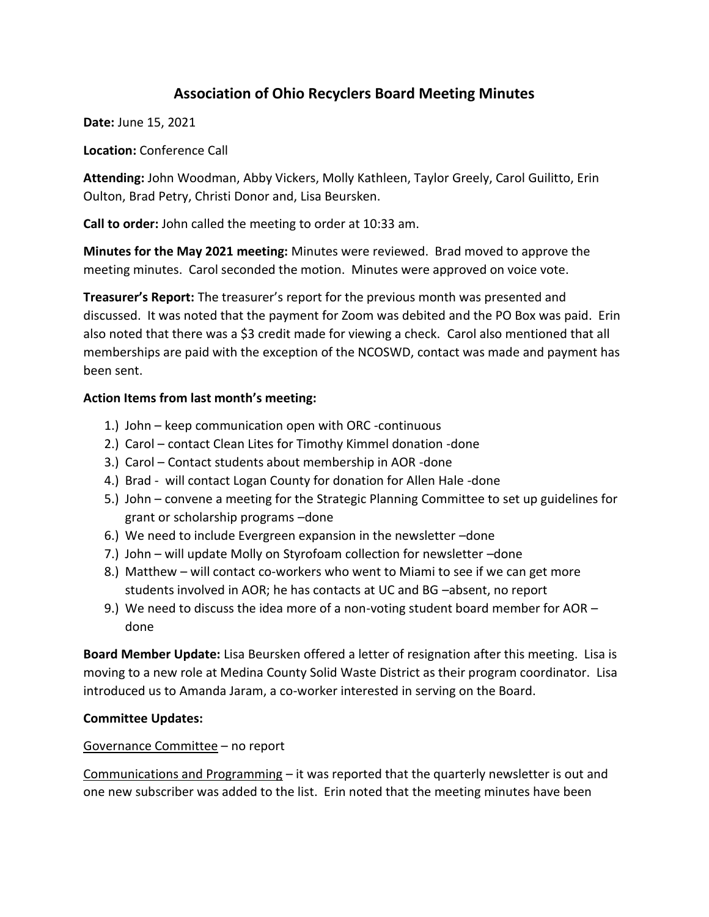# **Association of Ohio Recyclers Board Meeting Minutes**

**Date:** June 15, 2021

**Location:** Conference Call

**Attending:** John Woodman, Abby Vickers, Molly Kathleen, Taylor Greely, Carol Guilitto, Erin Oulton, Brad Petry, Christi Donor and, Lisa Beursken.

**Call to order:** John called the meeting to order at 10:33 am.

**Minutes for the May 2021 meeting:** Minutes were reviewed. Brad moved to approve the meeting minutes. Carol seconded the motion. Minutes were approved on voice vote.

**Treasurer's Report:** The treasurer's report for the previous month was presented and discussed. It was noted that the payment for Zoom was debited and the PO Box was paid. Erin also noted that there was a \$3 credit made for viewing a check. Carol also mentioned that all memberships are paid with the exception of the NCOSWD, contact was made and payment has been sent.

### **Action Items from last month's meeting:**

- 1.) John keep communication open with ORC -continuous
- 2.) Carol contact Clean Lites for Timothy Kimmel donation -done
- 3.) Carol Contact students about membership in AOR -done
- 4.) Brad will contact Logan County for donation for Allen Hale -done
- 5.) John convene a meeting for the Strategic Planning Committee to set up guidelines for grant or scholarship programs –done
- 6.) We need to include Evergreen expansion in the newsletter –done
- 7.) John will update Molly on Styrofoam collection for newsletter –done
- 8.) Matthew will contact co-workers who went to Miami to see if we can get more students involved in AOR; he has contacts at UC and BG –absent, no report
- 9.) We need to discuss the idea more of a non-voting student board member for AOR done

**Board Member Update:** Lisa Beursken offered a letter of resignation after this meeting. Lisa is moving to a new role at Medina County Solid Waste District as their program coordinator. Lisa introduced us to Amanda Jaram, a co-worker interested in serving on the Board.

### **Committee Updates:**

#### Governance Committee – no report

Communications and Programming – it was reported that the quarterly newsletter is out and one new subscriber was added to the list. Erin noted that the meeting minutes have been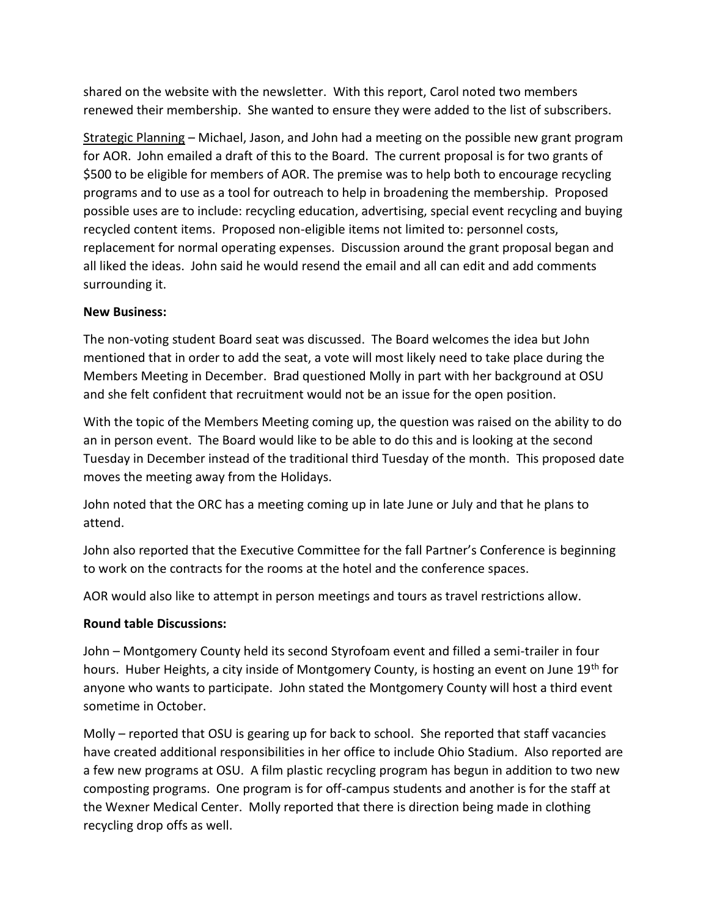shared on the website with the newsletter. With this report, Carol noted two members renewed their membership. She wanted to ensure they were added to the list of subscribers.

Strategic Planning – Michael, Jason, and John had a meeting on the possible new grant program for AOR. John emailed a draft of this to the Board. The current proposal is for two grants of \$500 to be eligible for members of AOR. The premise was to help both to encourage recycling programs and to use as a tool for outreach to help in broadening the membership. Proposed possible uses are to include: recycling education, advertising, special event recycling and buying recycled content items. Proposed non-eligible items not limited to: personnel costs, replacement for normal operating expenses. Discussion around the grant proposal began and all liked the ideas. John said he would resend the email and all can edit and add comments surrounding it.

### **New Business:**

The non-voting student Board seat was discussed. The Board welcomes the idea but John mentioned that in order to add the seat, a vote will most likely need to take place during the Members Meeting in December. Brad questioned Molly in part with her background at OSU and she felt confident that recruitment would not be an issue for the open position.

With the topic of the Members Meeting coming up, the question was raised on the ability to do an in person event. The Board would like to be able to do this and is looking at the second Tuesday in December instead of the traditional third Tuesday of the month. This proposed date moves the meeting away from the Holidays.

John noted that the ORC has a meeting coming up in late June or July and that he plans to attend.

John also reported that the Executive Committee for the fall Partner's Conference is beginning to work on the contracts for the rooms at the hotel and the conference spaces.

AOR would also like to attempt in person meetings and tours as travel restrictions allow.

### **Round table Discussions:**

John – Montgomery County held its second Styrofoam event and filled a semi-trailer in four hours. Huber Heights, a city inside of Montgomery County, is hosting an event on June 19<sup>th</sup> for anyone who wants to participate. John stated the Montgomery County will host a third event sometime in October.

Molly – reported that OSU is gearing up for back to school. She reported that staff vacancies have created additional responsibilities in her office to include Ohio Stadium. Also reported are a few new programs at OSU. A film plastic recycling program has begun in addition to two new composting programs. One program is for off-campus students and another is for the staff at the Wexner Medical Center. Molly reported that there is direction being made in clothing recycling drop offs as well.